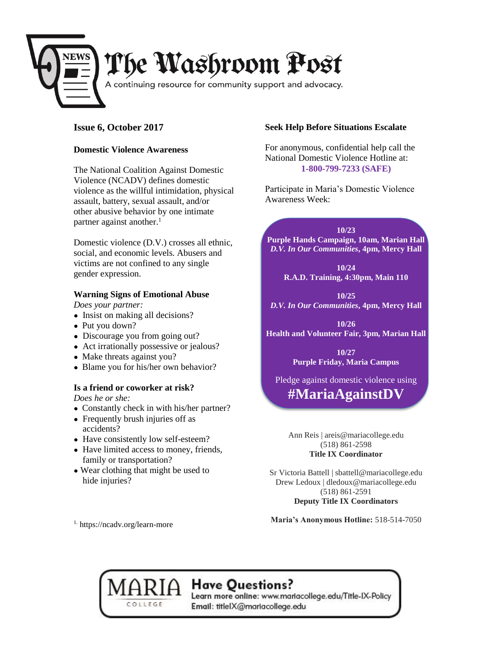

## **Issue 6, October 2017**

#### **Domestic Violence Awareness**

The National Coalition Against Domestic Violence (NCADV) defines domestic violence as the willful intimidation, physical assault, battery, sexual assault, and/or other abusive behavior by one intimate partner against another. $<sup>1</sup>$ </sup>

Domestic violence (D.V.) crosses all ethnic, social, and economic levels. Abusers and victims are not confined to any single gender expression.

### **Warning Signs of Emotional Abuse**

*Does your partner:*

- Insist on making all decisions?
- Put you down?
- Discourage you from going out?
- Act irrationally possessive or jealous?
- Make threats against you?
- Blame you for his/her own behavior?

### **Is a friend or coworker at risk?**

*Does he or she:*

- Constantly check in with his/her partner?
- Frequently brush injuries off as accidents?
- Have consistently low self-esteem?
- Have limited access to money, friends, family or transportation?
- Wear clothing that might be used to hide injuries?

COLLEGE

#### **Seek Help Before Situations Escalate**

For anonymous, confidential help call the National Domestic Violence Hotline at: **1-800-799-7233 (SAFE)**

Participate in Maria's Domestic Violence Awareness Week:

**10/23 Purple Hands Campaign, 10am, Marian Hall** *D.V. In Our Communities***, 4pm, Mercy Hall**

**10/24 R.A.D. Training, 4:30pm, Main 110**

**10/25** *D.V. In Our Communities***, 4pm, Mercy Hall**

**10/26 Health and Volunteer Fair, 3pm, Marian Hall**

> **10/27 Purple Friday, Maria Campus**

Pledge against domestic violence using

**#MariaAgainstDV**

Ann Reis | areis@mariacollege.edu (518) 861-2598 **Title IX Coordinator**

Sr Victoria Battell | sbattell@mariacollege.edu Drew Ledoux | dledoux@mariacollege.edu (518) 861-2591 **Deputy Title IX Coordinators**

**Maria's Anonymous Hotline:** 518-514-7050

# Have Questions?

Learn more online: www.mariacollege.edu/Title-IX-Policy Email: titlelX@mariacollege.edu

1. https://ncadv.org/learn-more